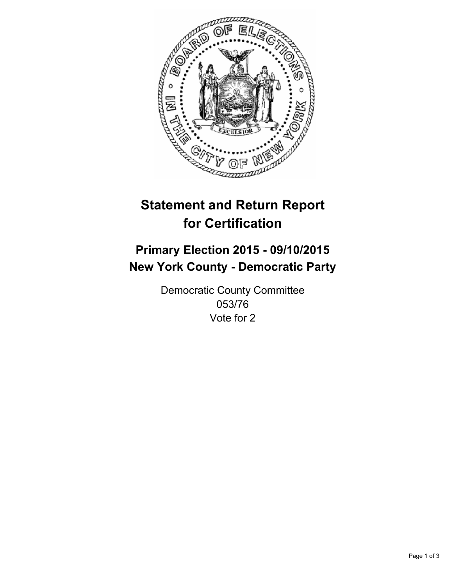

# **Statement and Return Report for Certification**

## **Primary Election 2015 - 09/10/2015 New York County - Democratic Party**

Democratic County Committee 053/76 Vote for 2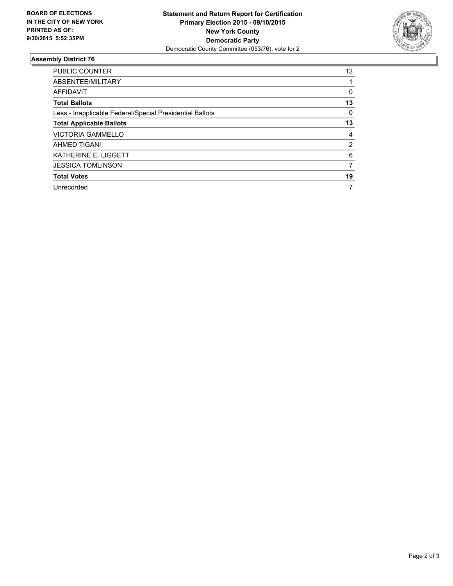

#### **Assembly District 76**

| <b>PUBLIC COUNTER</b>                                    | 12             |
|----------------------------------------------------------|----------------|
| ABSENTEE/MILITARY                                        |                |
| <b>AFFIDAVIT</b>                                         | 0              |
| <b>Total Ballots</b>                                     | 13             |
| Less - Inapplicable Federal/Special Presidential Ballots | 0              |
| <b>Total Applicable Ballots</b>                          | 13             |
| <b>VICTORIA GAMMELLO</b>                                 | 4              |
| <b>AHMED TIGANI</b>                                      | $\overline{2}$ |
| KATHERINE E. LIGGETT                                     | 6              |
| <b>JESSICA TOMLINSON</b>                                 | 7              |
| <b>Total Votes</b>                                       | 19             |
| Unrecorded                                               | 7              |